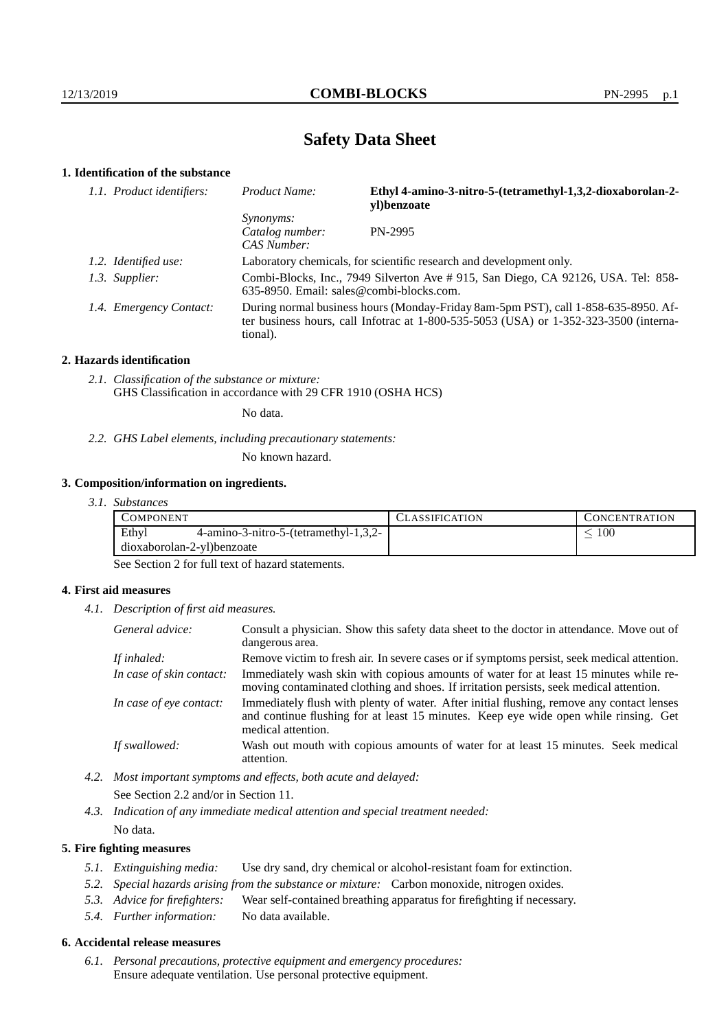# **Safety Data Sheet**

# **1. Identification of the substance**

| 1.1. Product identifiers: | Product Name:                                                                                                                                                                           | Ethyl 4-amino-3-nitro-5-(tetramethyl-1,3,2-dioxaborolan-2-<br>yl)benzoate |  |
|---------------------------|-----------------------------------------------------------------------------------------------------------------------------------------------------------------------------------------|---------------------------------------------------------------------------|--|
|                           | <i>Synonyms:</i><br>Catalog number:<br>CAS Number:                                                                                                                                      | PN-2995                                                                   |  |
| 1.2. Identified use:      | Laboratory chemicals, for scientific research and development only.                                                                                                                     |                                                                           |  |
| 1.3. Supplier:            | Combi-Blocks, Inc., 7949 Silverton Ave # 915, San Diego, CA 92126, USA. Tel: 858-<br>$635-8950$ . Email: sales@combi-blocks.com.                                                        |                                                                           |  |
| 1.4. Emergency Contact:   | During normal business hours (Monday-Friday 8am-5pm PST), call 1-858-635-8950. Af-<br>ter business hours, call Infotrac at 1-800-535-5053 (USA) or 1-352-323-3500 (interna-<br>tional). |                                                                           |  |

### **2. Hazards identification**

*2.1. Classification of the substance or mixture:* GHS Classification in accordance with 29 CFR 1910 (OSHA HCS)

No data.

*2.2. GHS Label elements, including precautionary statements:*

No known hazard.

### **3. Composition/information on ingredients.**

*3.1. Substances*

|                            | COMPONENT |                                          | LASSIFICATION | CONCENTRATION |
|----------------------------|-----------|------------------------------------------|---------------|---------------|
|                            | Ethyl     | $4$ -amino-3-nitro-5-(tetramethyl-1,3,2- |               | $100\,$       |
| dioxaborolan-2-yl)benzoate |           |                                          |               |               |

See Section 2 for full text of hazard statements.

### **4. First aid measures**

*4.1. Description of first aid measures.*

| General advice:          | Consult a physician. Show this safety data sheet to the doctor in attendance. Move out of<br>dangerous area.                                                                                            |
|--------------------------|---------------------------------------------------------------------------------------------------------------------------------------------------------------------------------------------------------|
| If inhaled:              | Remove victim to fresh air. In severe cases or if symptoms persist, seek medical attention.                                                                                                             |
| In case of skin contact: | Immediately wash skin with copious amounts of water for at least 15 minutes while re-<br>moving contaminated clothing and shoes. If irritation persists, seek medical attention.                        |
| In case of eye contact:  | Immediately flush with plenty of water. After initial flushing, remove any contact lenses<br>and continue flushing for at least 15 minutes. Keep eye wide open while rinsing. Get<br>medical attention. |
| If swallowed:            | Wash out mouth with copious amounts of water for at least 15 minutes. Seek medical<br>attention.                                                                                                        |

- *4.2. Most important symptoms and effects, both acute and delayed:* See Section 2.2 and/or in Section 11.
- *4.3. Indication of any immediate medical attention and special treatment needed:* No data.

### **5. Fire fighting measures**

- *5.1. Extinguishing media:* Use dry sand, dry chemical or alcohol-resistant foam for extinction.
- *5.2. Special hazards arising from the substance or mixture:* Carbon monoxide, nitrogen oxides.
- *5.3. Advice for firefighters:* Wear self-contained breathing apparatus for firefighting if necessary.
- *5.4. Further information:* No data available.

## **6. Accidental release measures**

*6.1. Personal precautions, protective equipment and emergency procedures:* Ensure adequate ventilation. Use personal protective equipment.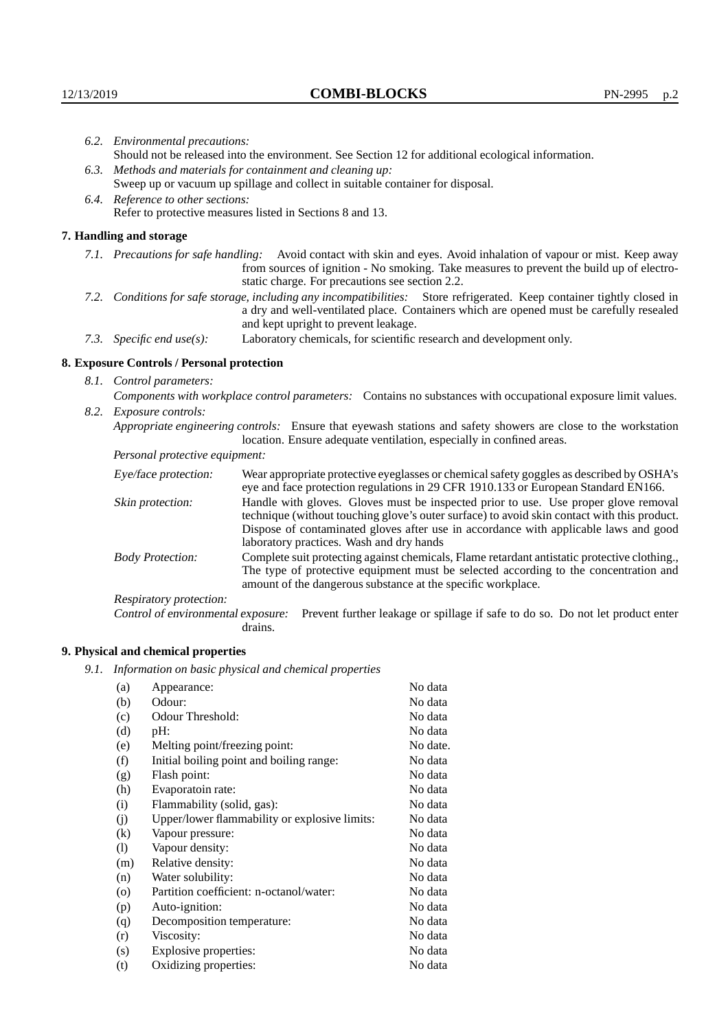|                         | 6.2. Environmental precautions:                                                                                                                                                                                                                                    |                                                                                                                                                                                    |  |  |  |
|-------------------------|--------------------------------------------------------------------------------------------------------------------------------------------------------------------------------------------------------------------------------------------------------------------|------------------------------------------------------------------------------------------------------------------------------------------------------------------------------------|--|--|--|
|                         | Should not be released into the environment. See Section 12 for additional ecological information.                                                                                                                                                                 |                                                                                                                                                                                    |  |  |  |
|                         | 6.3. Methods and materials for containment and cleaning up:                                                                                                                                                                                                        |                                                                                                                                                                                    |  |  |  |
|                         | Sweep up or vacuum up spillage and collect in suitable container for disposal.                                                                                                                                                                                     |                                                                                                                                                                                    |  |  |  |
|                         | 6.4. Reference to other sections:                                                                                                                                                                                                                                  |                                                                                                                                                                                    |  |  |  |
|                         | Refer to protective measures listed in Sections 8 and 13.                                                                                                                                                                                                          |                                                                                                                                                                                    |  |  |  |
|                         | 7. Handling and storage                                                                                                                                                                                                                                            |                                                                                                                                                                                    |  |  |  |
|                         | 7.1. Precautions for safe handling: Avoid contact with skin and eyes. Avoid inhalation of vapour or mist. Keep away<br>from sources of ignition - No smoking. Take measures to prevent the build up of electro-<br>static charge. For precautions see section 2.2. |                                                                                                                                                                                    |  |  |  |
|                         | 7.2. Conditions for safe storage, including any incompatibilities: Store refrigerated. Keep container tightly closed in<br>a dry and well-ventilated place. Containers which are opened must be carefully resealed<br>and kept upright to prevent leakage.         |                                                                                                                                                                                    |  |  |  |
|                         | 7.3. Specific end use(s):                                                                                                                                                                                                                                          | Laboratory chemicals, for scientific research and development only.                                                                                                                |  |  |  |
|                         | 8. Exposure Controls / Personal protection                                                                                                                                                                                                                         |                                                                                                                                                                                    |  |  |  |
|                         | 8.1. Control parameters:                                                                                                                                                                                                                                           |                                                                                                                                                                                    |  |  |  |
|                         | Components with workplace control parameters: Contains no substances with occupational exposure limit values.                                                                                                                                                      |                                                                                                                                                                                    |  |  |  |
| 8.2. Exposure controls: |                                                                                                                                                                                                                                                                    |                                                                                                                                                                                    |  |  |  |
|                         | Appropriate engineering controls: Ensure that eyewash stations and safety showers are close to the workstation<br>location. Ensure adequate ventilation, especially in confined areas.                                                                             |                                                                                                                                                                                    |  |  |  |
|                         | Personal protective equipment:                                                                                                                                                                                                                                     |                                                                                                                                                                                    |  |  |  |
|                         | Eye/face protection:                                                                                                                                                                                                                                               | Wear appropriate protective eyeglasses or chemical safety goggles as described by OSHA's<br>eye and face protection regulations in 29 CFR 1910.133 or European Standard EN166.     |  |  |  |
|                         | Skin protection:                                                                                                                                                                                                                                                   | Handle with gloves. Gloves must be inspected prior to use. Use proper glove removal<br>technique (without touching glove's outer surface) to avoid skin contact with this product. |  |  |  |

Dispose of contaminated gloves after use in accordance with applicable laws and good laboratory practices. Wash and dry hands Body Protection: Complete suit protecting against chemicals, Flame retardant antistatic protective clothing.,

The type of protective equipment must be selected according to the concentration and amount of the dangerous substance at the specific workplace.

Respiratory protection:

Control of environmental exposure: Prevent further leakage or spillage if safe to do so. Do not let product enter drains.

# **9. Physical and chemical properties**

*9.1. Information on basic physical and chemical properties*

| (a)               | Appearance:                                   | No data  |
|-------------------|-----------------------------------------------|----------|
| (b)               | Odour:                                        | No data  |
| (c)               | Odour Threshold:                              | No data  |
| (d)               | $pH$ :                                        | No data  |
| (e)               | Melting point/freezing point:                 | No date. |
| (f)               | Initial boiling point and boiling range:      | No data  |
| (g)               | Flash point:                                  | No data  |
| (h)               | Evaporatoin rate:                             | No data  |
| (i)               | Flammability (solid, gas):                    | No data  |
| (j)               | Upper/lower flammability or explosive limits: | No data  |
| $\left( k\right)$ | Vapour pressure:                              | No data  |
| (1)               | Vapour density:                               | No data  |
| (m)               | Relative density:                             | No data  |
| (n)               | Water solubility:                             | No data  |
| $\circ$           | Partition coefficient: n-octanol/water:       | No data  |
| (p)               | Auto-ignition:                                | No data  |
| (q)               | Decomposition temperature:                    | No data  |
| (r)               | Viscosity:                                    | No data  |
| (s)               | Explosive properties:                         | No data  |
| (t)               | Oxidizing properties:                         | No data  |
|                   |                                               |          |